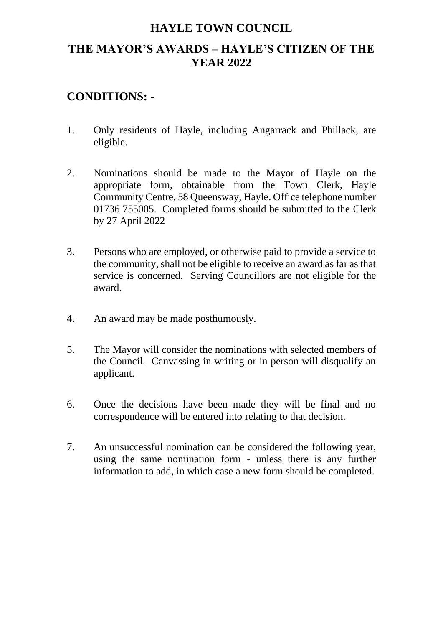# **HAYLE TOWN COUNCIL THE MAYOR'S AWARDS – HAYLE'S CITIZEN OF THE YEAR 2022**

## **CONDITIONS: -**

- 1. Only residents of Hayle, including Angarrack and Phillack, are eligible.
- 2. Nominations should be made to the Mayor of Hayle on the appropriate form, obtainable from the Town Clerk, Hayle Community Centre, 58 Queensway, Hayle. Office telephone number 01736 755005. Completed forms should be submitted to the Clerk by 27 April 2022
- 3. Persons who are employed, or otherwise paid to provide a service to the community, shall not be eligible to receive an award as far as that service is concerned. Serving Councillors are not eligible for the award.
- 4. An award may be made posthumously.
- 5. The Mayor will consider the nominations with selected members of the Council. Canvassing in writing or in person will disqualify an applicant.
- 6. Once the decisions have been made they will be final and no correspondence will be entered into relating to that decision.
- 7. An unsuccessful nomination can be considered the following year, using the same nomination form - unless there is any further information to add, in which case a new form should be completed.